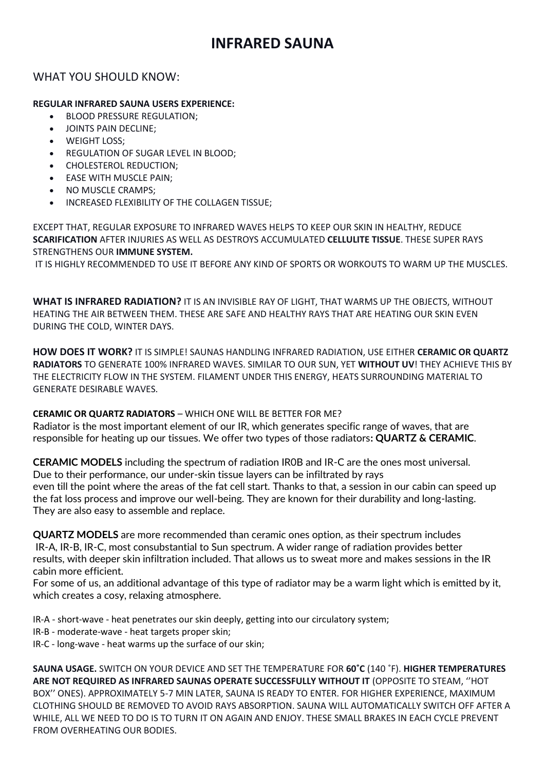# WHAT YOU SHOULD KNOW:

## **REGULAR INFRARED SAUNA USERS EXPERIENCE:**

- BLOOD PRESSURE REGULATION;
- **JOINTS PAIN DECLINE:**
- WEIGHT LOSS;
- REGULATION OF SUGAR LEVEL IN BLOOD;
- CHOLESTEROL REDUCTION;
- **EASE WITH MUSCLE PAIN;**
- NO MUSCLE CRAMPS;
- INCREASED FLEXIBILITY OF THE COLLAGEN TISSUE;

EXCEPT THAT, REGULAR EXPOSURE TO INFRARED WAVES HELPS TO KEEP OUR SKIN IN HEALTHY, REDUCE **SCARIFICATION** AFTER INJURIES AS WELL AS DESTROYS ACCUMULATED **CELLULITE TISSUE**. THESE SUPER RAYS STRENGTHENS OUR **IMMUNE SYSTEM.**

IT IS HIGHLY RECOMMENDED TO USE IT BEFORE ANY KIND OF SPORTS OR WORKOUTS TO WARM UP THE MUSCLES.

**WHAT IS INFRARED RADIATION?** IT IS AN INVISIBLE RAY OF LIGHT, THAT WARMS UP THE OBJECTS, WITHOUT HEATING THE AIR BETWEEN THEM. THESE ARE SAFE AND HEALTHY RAYS THAT ARE HEATING OUR SKIN EVEN DURING THE COLD, WINTER DAYS.

**HOW DOES IT WORK?** IT IS SIMPLE! SAUNAS HANDLING INFRARED RADIATION, USE EITHER **CERAMIC OR QUARTZ RADIATORS** TO GENERATE 100% INFRARED WAVES. SIMILAR TO OUR SUN, YET **WITHOUT UV**! THEY ACHIEVE THIS BY THE ELECTRICITY FLOW IN THE SYSTEM. FILAMENT UNDER THIS ENERGY, HEATS SURROUNDING MATERIAL TO GENERATE DESIRABLE WAVES.

## **CERAMIC OR QUARTZ RADIATORS** – WHICH ONE WILL BE BETTER FOR ME?

Radiator is the most important element of our IR, which generates specific range of waves, that are responsible for heating up our tissues. We offer two types of those radiators**: QUARTZ & CERAMIC**.

**CERAMIC MODELS** including the spectrum of radiation IR0B and IR-C are the ones most universal. Due to their performance, our under-skin tissue layers can be infiltrated by rays even till the point where the areas of the fat cell start. Thanks to that, a session in our cabin can speed up the fat loss process and improve our well-being. They are known for their durability and long-lasting. They are also easy to assemble and replace.

**QUARTZ MODELS** are more recommended than ceramic ones option, as their spectrum includes IR-A, IR-B, IR-C, most consubstantial to Sun spectrum. A wider range of radiation provides better results, with deeper skin infiltration included. That allows us to sweat more and makes sessions in the IR cabin more efficient.

For some of us, an additional advantage of this type of radiator may be a warm light which is emitted by it, which creates a cosy, relaxing atmosphere.

IR-A - short-wave - heat penetrates our skin deeply, getting into our circulatory system;

- IR-B moderate-wave heat targets proper skin;
- IR-C long-wave heat warms up the surface of our skin;

**SAUNA USAGE.** SWITCH ON YOUR DEVICE AND SET THE TEMPERATURE FOR **60˚C** (140 ˚F). **HIGHER TEMPERATURES ARE NOT REQUIRED AS INFRARED SAUNAS OPERATE SUCCESSFULLY WITHOUT IT** (OPPOSITE TO STEAM, ''HOT BOX'' ONES). APPROXIMATELY 5-7 MIN LATER, SAUNA IS READY TO ENTER. FOR HIGHER EXPERIENCE, MAXIMUM CLOTHING SHOULD BE REMOVED TO AVOID RAYS ABSORPTION. SAUNA WILL AUTOMATICALLY SWITCH OFF AFTER A WHILE, ALL WE NEED TO DO IS TO TURN IT ON AGAIN AND ENJOY. THESE SMALL BRAKES IN EACH CYCLE PREVENT FROM OVERHEATING OUR BODIES.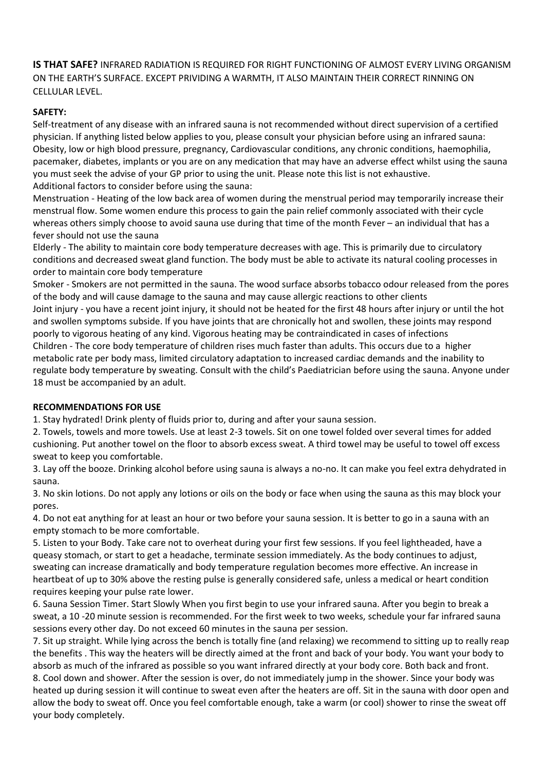**IS THAT SAFE?** INFRARED RADIATION IS REQUIRED FOR RIGHT FUNCTIONING OF ALMOST EVERY LIVING ORGANISM ON THE EARTH'S SURFACE. EXCEPT PRIVIDING A WARMTH, IT ALSO MAINTAIN THEIR CORRECT RINNING ON CELLULAR LEVEL.

## **SAFETY:**

Self-treatment of any disease with an infrared sauna is not recommended without direct supervision of a certified physician. If anything listed below applies to you, please consult your physician before using an infrared sauna: Obesity, low or high blood pressure, pregnancy, Cardiovascular conditions, any chronic conditions, haemophilia, pacemaker, diabetes, implants or you are on any medication that may have an adverse effect whilst using the sauna you must seek the advise of your GP prior to using the unit. Please note this list is not exhaustive. Additional factors to consider before using the sauna:

Menstruation - Heating of the low back area of women during the menstrual period may temporarily increase their menstrual flow. Some women endure this process to gain the pain relief commonly associated with their cycle whereas others simply choose to avoid sauna use during that time of the month Fever – an individual that has a fever should not use the sauna

Elderly - The ability to maintain core body temperature decreases with age. This is primarily due to circulatory conditions and decreased sweat gland function. The body must be able to activate its natural cooling processes in order to maintain core body temperature

Smoker - Smokers are not permitted in the sauna. The wood surface absorbs tobacco odour released from the pores of the body and will cause damage to the sauna and may cause allergic reactions to other clients Joint injury - you have a recent joint injury, it should not be heated for the first 48 hours after injury or until the hot and swollen symptoms subside. If you have joints that are chronically hot and swollen, these joints may respond poorly to vigorous heating of any kind. Vigorous heating may be contraindicated in cases of infections Children - The core body temperature of children rises much faster than adults. This occurs due to a higher metabolic rate per body mass, limited circulatory adaptation to increased cardiac demands and the inability to regulate body temperature by sweating. Consult with the child's Paediatrician before using the sauna. Anyone under 18 must be accompanied by an adult.

## **RECOMMENDATIONS FOR USE**

1. Stay hydrated! Drink plenty of fluids prior to, during and after your sauna session.

2. Towels, towels and more towels. Use at least 2-3 towels. Sit on one towel folded over several times for added cushioning. Put another towel on the floor to absorb excess sweat. A third towel may be useful to towel off excess sweat to keep you comfortable.

3. Lay off the booze. Drinking alcohol before using sauna is always a no-no. It can make you feel extra dehydrated in sauna.

3. No skin lotions. Do not apply any lotions or oils on the body or face when using the sauna as this may block your pores.

4. Do not eat anything for at least an hour or two before your sauna session. It is better to go in a sauna with an empty stomach to be more comfortable.

5. Listen to your Body. Take care not to overheat during your first few sessions. If you feel lightheaded, have a queasy stomach, or start to get a headache, terminate session immediately. As the body continues to adjust, sweating can increase dramatically and body temperature regulation becomes more effective. An increase in heartbeat of up to 30% above the resting pulse is generally considered safe, unless a medical or heart condition requires keeping your pulse rate lower.

6. Sauna Session Timer. Start Slowly When you first begin to use your infrared sauna. After you begin to break a sweat, a 10 -20 minute session is recommended. For the first week to two weeks, schedule your far infrared sauna sessions every other day. Do not exceed 60 minutes in the sauna per session.

7. Sit up straight. While lying across the bench is totally fine (and relaxing) we recommend to sitting up to really reap the benefits . This way the heaters will be directly aimed at the front and back of your body. You want your body to absorb as much of the infrared as possible so you want infrared directly at your body core. Both back and front. 8. Cool down and shower. After the session is over, do not immediately jump in the shower. Since your body was heated up during session it will continue to sweat even after the heaters are off. Sit in the sauna with door open and allow the body to sweat off. Once you feel comfortable enough, take a warm (or cool) shower to rinse the sweat off your body completely.